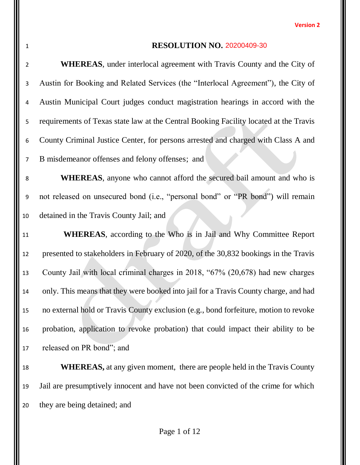### **RESOLUTION NO.** 20200409-30

 **WHEREAS**, under interlocal agreement with Travis County and the City of Austin for Booking and Related Services (the "Interlocal Agreement"), the City of Austin Municipal Court judges conduct magistration hearings in accord with the requirements of Texas state law at the Central Booking Facility located at the Travis County Criminal Justice Center, for persons arrested and charged with Class A and B misdemeanor offenses and felony offenses; and **WHEREAS**, anyone who cannot afford the secured bail amount and who is not released on unsecured bond (i.e., "personal bond" or "PR bond") will remain detained in the Travis County Jail; and **WHEREAS**, according to the Who is in Jail and Why Committee Report presented to stakeholders in February of 2020, of the 30,832 bookings in the Travis County Jail with local criminal charges in 2018, "67% (20,678) had new charges only. This means that they were booked into jail for a Travis County charge, and had no external hold or Travis County exclusion (e.g., bond forfeiture, motion to revoke probation, application to revoke probation) that could impact their ability to be released on PR bond"; and **WHEREAS,** at any given moment, there are people held in the Travis County Jail are presumptively innocent and have not been convicted of the crime for which

they are being detained; and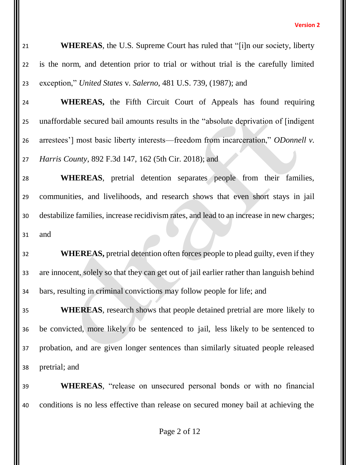**WHEREAS**, the U.S. Supreme Court has ruled that "[i]n our society, liberty is the norm, and detention prior to trial or without trial is the carefully limited exception," *United States* v. *Salerno*, 481 U.S. 739, (1987); and

 **WHEREAS,** the Fifth Circuit Court of Appeals has found requiring unaffordable secured bail amounts results in the "absolute deprivation of [indigent arrestees'] most basic liberty interests—freedom from incarceration," *ODonnell v. Harris County*, 892 F.3d 147, 162 (5th Cir. 2018); and

 **WHEREAS**, pretrial detention separates people from their families, communities, and livelihoods, and research shows that even short stays in jail destabilize families, increase recidivism rates, and lead to an increase in new charges; and

 **WHEREAS,** pretrial detention often forces people to plead guilty, even if they are innocent, solely so that they can get out of jail earlier rather than languish behind bars, resulting in criminal convictions may follow people for life; and

 **WHEREAS**, research shows that people detained pretrial are more likely to be convicted, more likely to be sentenced to jail, less likely to be sentenced to probation, and are given longer sentences than similarly situated people released pretrial; and

 **WHEREAS**, "release on unsecured personal bonds or with no financial conditions is no less effective than release on secured money bail at achieving the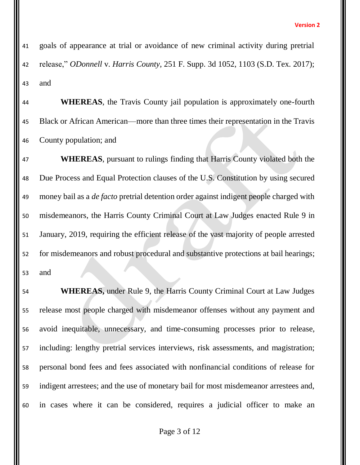goals of appearance at trial or avoidance of new criminal activity during pretrial release," *ODonnell* v. *Harris County*, 251 F. Supp. 3d 1052, 1103 (S.D. Tex. 2017); and

 **WHEREAS**, the Travis County jail population is approximately one-fourth Black or African American—more than three times their representation in the Travis County population; and

 **WHEREAS**, pursuant to rulings finding that Harris County violated both the Due Process and Equal Protection clauses of the U.S. Constitution by using secured money bail as a *de facto* pretrial detention order against indigent people charged with misdemeanors, the Harris County Criminal Court at Law Judges enacted Rule 9 in January, 2019, requiring the efficient release of the vast majority of people arrested for misdemeanors and robust procedural and substantive protections at bail hearings; and

 **WHEREAS,** under Rule 9, the Harris County Criminal Court at Law Judges release most people charged with misdemeanor offenses without any payment and avoid inequitable, unnecessary, and time-consuming processes prior to release, including: lengthy pretrial services interviews, risk assessments, and magistration; personal bond fees and fees associated with nonfinancial conditions of release for indigent arrestees; and the use of monetary bail for most misdemeanor arrestees and, in cases where it can be considered, requires a judicial officer to make an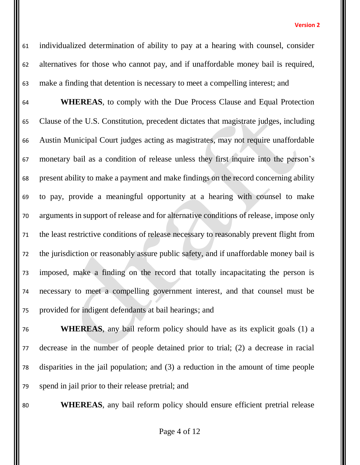individualized determination of ability to pay at a hearing with counsel, consider alternatives for those who cannot pay, and if unaffordable money bail is required, make a finding that detention is necessary to meet a compelling interest; and

 **WHEREAS**, to comply with the Due Process Clause and Equal Protection Clause of the U.S. Constitution, precedent dictates that magistrate judges, including Austin Municipal Court judges acting as magistrates, may not require unaffordable monetary bail as a condition of release unless they first inquire into the person's present ability to make a payment and make findings on the record concerning ability to pay, provide a meaningful opportunity at a hearing with counsel to make arguments in support of release and for alternative conditions of release, impose only the least restrictive conditions of release necessary to reasonably prevent flight from the jurisdiction or reasonably assure public safety, and if unaffordable money bail is imposed, make a finding on the record that totally incapacitating the person is necessary to meet a compelling government interest, and that counsel must be provided for indigent defendants at bail hearings; and

 **WHEREAS**, any bail reform policy should have as its explicit goals (1) a decrease in the number of people detained prior to trial; (2) a decrease in racial disparities in the jail population; and (3) a reduction in the amount of time people spend in jail prior to their release pretrial; and

**WHEREAS**, any bail reform policy should ensure efficient pretrial release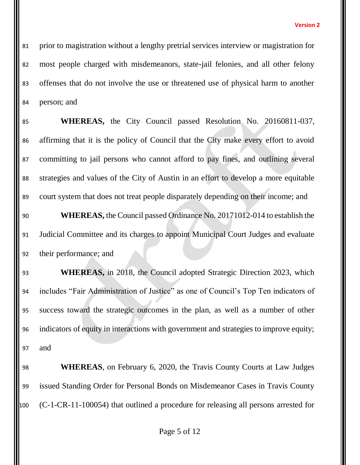prior to magistration without a lengthy pretrial services interview or magistration for most people charged with misdemeanors, state-jail felonies, and all other felony offenses that do not involve the use or threatened use of physical harm to another person; and

 **WHEREAS,** the City Council passed Resolution No. 20160811-037, affirming that it is the policy of Council that the City make every effort to avoid committing to jail persons who cannot afford to pay fines, and outlining several strategies and values of the City of Austin in an effort to develop a more equitable court system that does not treat people disparately depending on their income; and **WHEREAS,** the Council passed Ordinance No. 20171012-014 to establish the Judicial Committee and its charges to appoint Municipal Court Judges and evaluate their performance; and **WHEREAS,** in 2018, the Council adopted Strategic Direction 2023, which includes "Fair Administration of Justice" as one of Council's Top Ten indicators of success toward the strategic outcomes in the plan, as well as a number of other indicators of equity in interactions with government and strategies to improve equity;

and

 **WHEREAS**, on February 6, 2020, the Travis County Courts at Law Judges issued Standing Order for Personal Bonds on Misdemeanor Cases in Travis County (C-1-CR-11-100054) that outlined a procedure for releasing all persons arrested for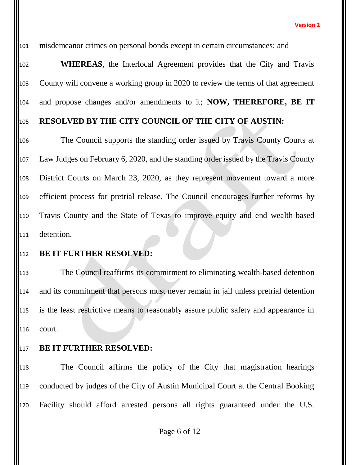misdemeanor crimes on personal bonds except in certain circumstances; and

 **WHEREAS**, the Interlocal Agreement provides that the City and Travis County will convene a working group in 2020 to review the terms of that agreement and propose changes and/or amendments to it; **NOW, THEREFORE, BE IT**

# **RESOLVED BY THE CITY COUNCIL OF THE CITY OF AUSTIN:**

 The Council supports the standing order issued by Travis County Courts at Law Judges on February 6, 2020, and the standing order issued by the Travis County District Courts on March 23, 2020, as they represent movement toward a more efficient process for pretrial release. The Council encourages further reforms by Travis County and the State of Texas to improve equity and end wealth-based detention.

### **BE IT FURTHER RESOLVED:**

 The Council reaffirms its commitment to eliminating wealth-based detention and its commitment that persons must never remain in jail unless pretrial detention is the least restrictive means to reasonably assure public safety and appearance in court.

## **BE IT FURTHER RESOLVED:**

 The Council affirms the policy of the City that magistration hearings conducted by judges of the City of Austin Municipal Court at the Central Booking Facility should afford arrested persons all rights guaranteed under the U.S.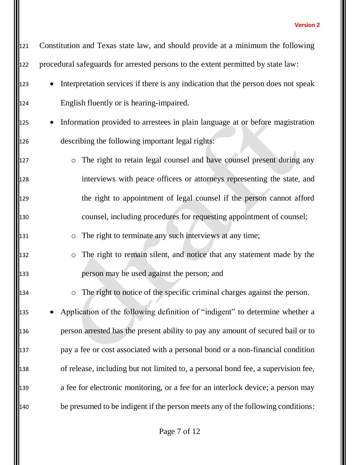121 Constitution and Texas state law, and should provide at a minimum the following procedural safeguards for arrested persons to the extent permitted by state law: 123 • Interpretation services if there is any indication that the person does not speak English fluently or is hearing-impaired. 125 • Information provided to arrestees in plain language at or before magistration describing the following important legal rights: **b** o The right to retain legal counsel and have counsel present during any interviews with peace officers or attorneys representing the state, and the right to appointment of legal counsel if the person cannot afford counsel, including procedures for requesting appointment of counsel; o The right to terminate any such interviews at any time; o The right to remain silent, and notice that any statement made by the person may be used against the person; and o The right to notice of the specific criminal charges against the person. 135 • Application of the following definition of "indigent" to determine whether a person arrested has the present ability to pay any amount of secured bail or to pay a fee or cost associated with a personal bond or a non-financial condition of release, including but not limited to, a personal bond fee, a supervision fee, a fee for electronic monitoring, or a fee for an interlock device; a person may be presumed to be indigent if the person meets any of the following conditions: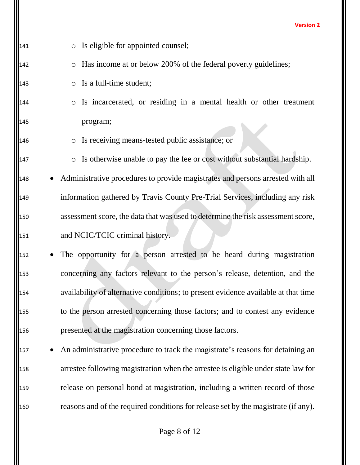| 141 | Is eligible for appointed counsel;<br>$\circ$                                      |
|-----|------------------------------------------------------------------------------------|
| 142 | Has income at or below 200% of the federal poverty guidelines;<br>$\bigcirc$       |
| 143 | Is a full-time student;<br>$\circ$                                                 |
| 144 | Is incarcerated, or residing in a mental health or other treatment<br>$\bigcirc$   |
| 145 | program;                                                                           |
| 146 | Is receiving means-tested public assistance; or<br>$\circ$                         |
| 147 | o Is otherwise unable to pay the fee or cost without substantial hardship.         |
| 148 | Administrative procedures to provide magistrates and persons arrested with all     |
| 149 | information gathered by Travis County Pre-Trial Services, including any risk       |
| 150 | assessment score, the data that was used to determine the risk assessment score,   |
| 151 | and NCIC/TCIC criminal history.                                                    |
| 152 | The opportunity for a person arrested to be heard during magistration              |
| 153 | concerning any factors relevant to the person's release, detention, and the        |
| 154 | availability of alternative conditions; to present evidence available at that time |
| 155 | to the person arrested concerning those factors; and to contest any evidence       |
| 156 | presented at the magistration concerning those factors.                            |
| 157 | An administrative procedure to track the magistrate's reasons for detaining an     |
| 158 | arrestee following magistration when the arrestee is eligible under state law for  |
| 159 | release on personal bond at magistration, including a written record of those      |
| 160 | reasons and of the required conditions for release set by the magistrate (if any). |
|     |                                                                                    |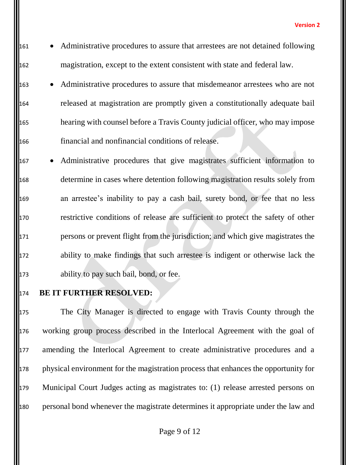161 • Administrative procedures to assure that arrestees are not detained following magistration, except to the extent consistent with state and federal law.

163 • Administrative procedures to assure that misdemeanor arrestees who are not released at magistration are promptly given a constitutionally adequate bail hearing with counsel before a Travis County judicial officer, who may impose financial and nonfinancial conditions of release.

167 • Administrative procedures that give magistrates sufficient information to determine in cases where detention following magistration results solely from an arrestee's inability to pay a cash bail, surety bond, or fee that no less restrictive conditions of release are sufficient to protect the safety of other persons or prevent flight from the jurisdiction; and which give magistrates the ability to make findings that such arrestee is indigent or otherwise lack the ability to pay such bail, bond, or fee.

**BE IT FURTHER RESOLVED:**

 The City Manager is directed to engage with Travis County through the working group process described in the Interlocal Agreement with the goal of 177 amending the Interlocal Agreement to create administrative procedures and a physical environment for the magistration process that enhances the opportunity for Municipal Court Judges acting as magistrates to: (1) release arrested persons on personal bond whenever the magistrate determines it appropriate under the law and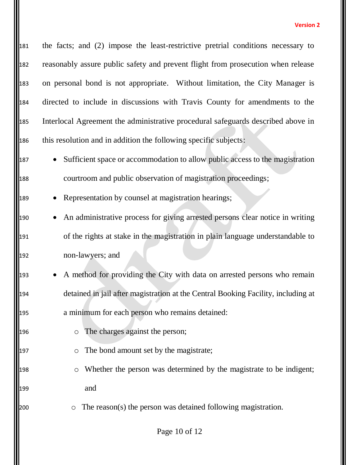the facts; and (2) impose the least-restrictive pretrial conditions necessary to reasonably assure public safety and prevent flight from prosecution when release 183 on personal bond is not appropriate. Without limitation, the City Manager is directed to include in discussions with Travis County for amendments to the Interlocal Agreement the administrative procedural safeguards described above in this resolution and in addition the following specific subjects:

- Sufficient space or accommodation to allow public access to the magistration courtroom and public observation of magistration proceedings;
- 189 Representation by counsel at magistration hearings;
- 190 An administrative process for giving arrested persons clear notice in writing of the rights at stake in the magistration in plain language understandable to non-lawyers; and
- 193 A method for providing the City with data on arrested persons who remain detained in jail after magistration at the Central Booking Facility, including at a minimum for each person who remains detained:
- **c** The charges against the person;
- **c** The bond amount set by the magistrate;
- 198 o Whether the person was determined by the magistrate to be indigent; and
- $\degree$  The reason(s) the person was detained following magistration.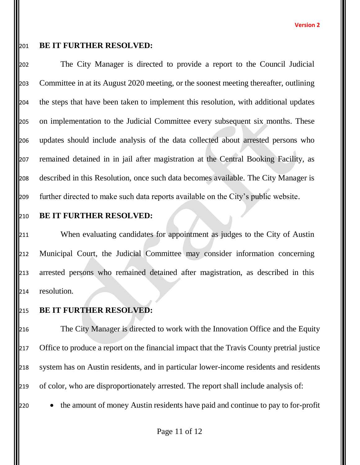# **BE IT FURTHER RESOLVED:**

 The City Manager is directed to provide a report to the Council Judicial Committee in at its August 2020 meeting, or the soonest meeting thereafter, outlining the steps that have been taken to implement this resolution, with additional updates on implementation to the Judicial Committee every subsequent six months. These updates should include analysis of the data collected about arrested persons who remained detained in in jail after magistration at the Central Booking Facility, as described in this Resolution, once such data becomes available. The City Manager is further directed to make such data reports available on the City's public website.

## **BE IT FURTHER RESOLVED:**

 When evaluating candidates for appointment as judges to the City of Austin Municipal Court, the Judicial Committee may consider information concerning arrested persons who remained detained after magistration, as described in this resolution.

**BE IT FURTHER RESOLVED:**

 The City Manager is directed to work with the Innovation Office and the Equity 217 Office to produce a report on the financial impact that the Travis County pretrial justice system has on Austin residents, and in particular lower-income residents and residents of color, who are disproportionately arrested. The report shall include analysis of:

220 • the amount of money Austin residents have paid and continue to pay to for-profit